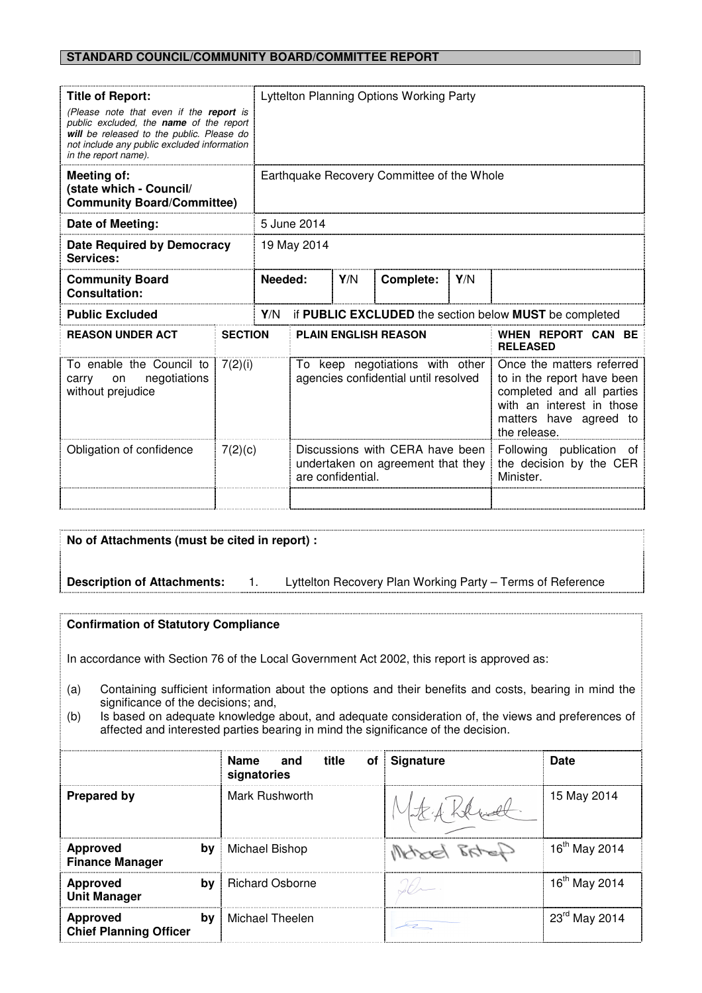## **STANDARD COUNCIL/COMMUNITY BOARD/COMMITTEE REPORT**

| <b>Title of Report:</b><br>(Please note that even if the report is<br>public excluded, the <b>name</b> of the report<br>will be released to the public. Please do<br>not include any public excluded information<br>in the report name). |                | Lyttelton Planning Options Working Party                      |                                                                         |                                                                                           |           |     |                                                                                                                                                             |
|------------------------------------------------------------------------------------------------------------------------------------------------------------------------------------------------------------------------------------------|----------------|---------------------------------------------------------------|-------------------------------------------------------------------------|-------------------------------------------------------------------------------------------|-----------|-----|-------------------------------------------------------------------------------------------------------------------------------------------------------------|
| Meeting of:<br>(state which - Council/<br><b>Community Board/Committee)</b>                                                                                                                                                              |                | Earthquake Recovery Committee of the Whole                    |                                                                         |                                                                                           |           |     |                                                                                                                                                             |
| Date of Meeting:                                                                                                                                                                                                                         |                | 5 June 2014                                                   |                                                                         |                                                                                           |           |     |                                                                                                                                                             |
| Date Required by Democracy<br>Services:                                                                                                                                                                                                  |                | 19 May 2014                                                   |                                                                         |                                                                                           |           |     |                                                                                                                                                             |
| <b>Community Board</b><br><b>Consultation:</b>                                                                                                                                                                                           |                | Needed:                                                       |                                                                         | Y/N                                                                                       | Complete: | Y/N |                                                                                                                                                             |
| <b>Public Excluded</b>                                                                                                                                                                                                                   |                | if PUBLIC EXCLUDED the section below MUST be completed<br>Y/N |                                                                         |                                                                                           |           |     |                                                                                                                                                             |
| <b>REASON UNDER ACT</b>                                                                                                                                                                                                                  | <b>SECTION</b> |                                                               | <b>PLAIN ENGLISH REASON</b>                                             |                                                                                           |           |     | WHEN REPORT CAN BE<br><b>RELEASED</b>                                                                                                                       |
| To enable the Council to<br>negotiations<br>carry<br>on<br>without prejudice                                                                                                                                                             | 7(2)(i)        |                                                               | To keep negotiations with other<br>agencies confidential until resolved |                                                                                           |           |     | Once the matters referred<br>to in the report have been<br>completed and all parties<br>with an interest in those<br>matters have agreed to<br>the release. |
| Obligation of confidence                                                                                                                                                                                                                 |                | 7(2)(c)                                                       |                                                                         | Discussions with CERA have been<br>undertaken on agreement that they<br>are confidential. |           |     | Following publication of<br>the decision by the CER<br>Minister.                                                                                            |

# **No of Attachments (must be cited in report) :**

**Description of Attachments:** 1. Lyttelton Recovery Plan Working Party – Terms of Reference

# **Confirmation of Statutory Compliance**

In accordance with Section 76 of the Local Government Act 2002, this report is approved as:

- (a) Containing sufficient information about the options and their benefits and costs, bearing in mind the significance of the decisions; and,
- (b) Is based on adequate knowledge about, and adequate consideration of, the views and preferences of affected and interested parties bearing in mind the significance of the decision.

|                                                        | title<br>Name<br>and<br>signatories | of Signature   | Date                      |
|--------------------------------------------------------|-------------------------------------|----------------|---------------------------|
| <b>Prepared by</b>                                     | Mark Rushworth                      |                | 15 May 2014               |
| <b>Approved</b><br>bv<br><b>Finance Manager</b>        | Michael Bishop                      | $R_{\text{H}}$ | 16 <sup>th</sup> May 2014 |
| <b>Approved</b><br>bv<br><b>Unit Manager</b>           | <b>Richard Osborne</b>              |                | 16 <sup>th</sup> May 2014 |
| <b>Approved</b><br>bv<br><b>Chief Planning Officer</b> | Michael Theelen                     |                | 23rd May 2014             |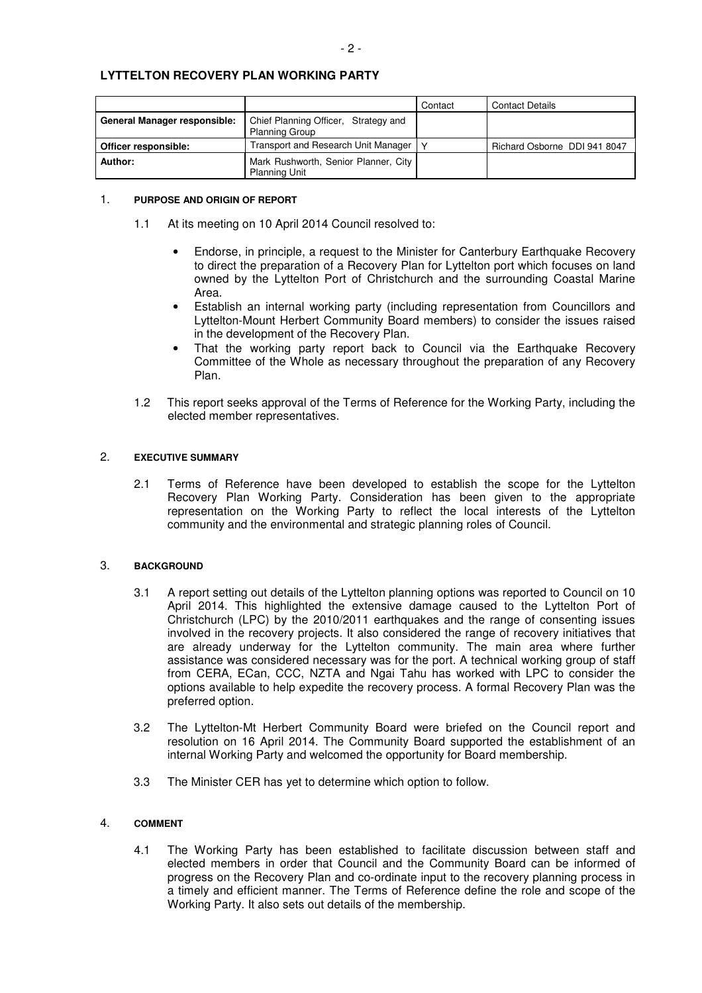# **LYTTELTON RECOVERY PLAN WORKING PARTY**

|                                     |                                                               | Contact | <b>Contact Details</b>       |
|-------------------------------------|---------------------------------------------------------------|---------|------------------------------|
| <b>General Manager responsible:</b> | Chief Planning Officer, Strategy and<br><b>Planning Group</b> |         |                              |
| Officer responsible:                | Fransport and Research Unit Manager                           |         | Richard Osborne DDI 941 8047 |
| Author:                             | Mark Rushworth, Senior Planner, City<br><b>Planning Unit</b>  |         |                              |

#### 1. **PURPOSE AND ORIGIN OF REPORT**

- 1.1 At its meeting on 10 April 2014 Council resolved to:
	- Endorse, in principle, a request to the Minister for Canterbury Earthquake Recovery to direct the preparation of a Recovery Plan for Lyttelton port which focuses on land owned by the Lyttelton Port of Christchurch and the surrounding Coastal Marine Area.
	- Establish an internal working party (including representation from Councillors and Lyttelton-Mount Herbert Community Board members) to consider the issues raised in the development of the Recovery Plan.
	- That the working party report back to Council via the Earthquake Recovery Committee of the Whole as necessary throughout the preparation of any Recovery Plan.
- 1.2 This report seeks approval of the Terms of Reference for the Working Party, including the elected member representatives.

#### 2. **EXECUTIVE SUMMARY**

 2.1 Terms of Reference have been developed to establish the scope for the Lyttelton Recovery Plan Working Party. Consideration has been given to the appropriate representation on the Working Party to reflect the local interests of the Lyttelton community and the environmental and strategic planning roles of Council.

#### 3. **BACKGROUND**

- 3.1 A report setting out details of the Lyttelton planning options was reported to Council on 10 April 2014. This highlighted the extensive damage caused to the Lyttelton Port of Christchurch (LPC) by the 2010/2011 earthquakes and the range of consenting issues involved in the recovery projects. It also considered the range of recovery initiatives that are already underway for the Lyttelton community. The main area where further assistance was considered necessary was for the port. A technical working group of staff from CERA, ECan, CCC, NZTA and Ngai Tahu has worked with LPC to consider the options available to help expedite the recovery process. A formal Recovery Plan was the preferred option.
- 3.2 The Lyttelton-Mt Herbert Community Board were briefed on the Council report and resolution on 16 April 2014. The Community Board supported the establishment of an internal Working Party and welcomed the opportunity for Board membership.
- 3.3 The Minister CER has yet to determine which option to follow.

## 4. **COMMENT**

 4.1 The Working Party has been established to facilitate discussion between staff and elected members in order that Council and the Community Board can be informed of progress on the Recovery Plan and co-ordinate input to the recovery planning process in a timely and efficient manner. The Terms of Reference define the role and scope of the Working Party. It also sets out details of the membership.